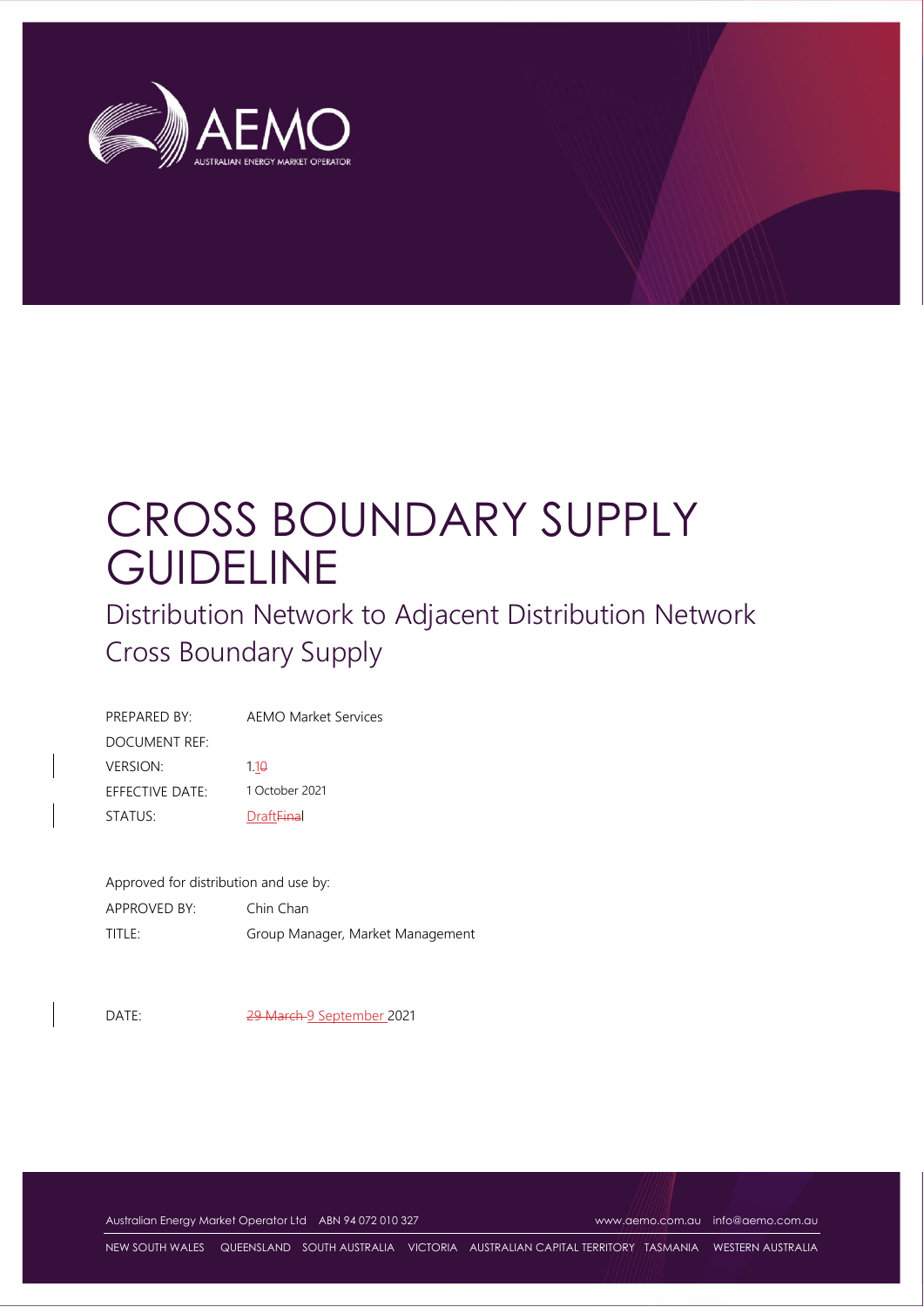

# CROSS BOUNDARY SUPPLY **GUIDELINE**

Distribution Network to Adjacent Distribution Network Cross Boundary Supply

| PREPARED BY:    | <b>AEMO Market Services</b>  |
|-----------------|------------------------------|
| DOCUMENT REF:   |                              |
| <b>VERSION:</b> | 1.19                         |
| EFFECTIVE DATE: | 1 October 2021               |
| STATUS:         | <b>Draft<del>Fina</del>l</b> |

Approved for distribution and use by:

| APPROVED BY: | Chin Chan                        |
|--------------|----------------------------------|
| TITLE:       | Group Manager, Market Management |

DATE: 29 March 9 September 2021

Australian Energy Market Operator Ltd ABN 94 072 010 327 [www.aemo.com.au](http://www.aemo.com.au/) [info@aemo.com.au](mailto:info@aemo.com.au)

NEW SOUTH WALES QUEENSLAND SOUTH AUSTRALIA VICTORIA AUSTRALIAN CAPITAL TERRITORY TASMANIA WESTERN AUSTRALIA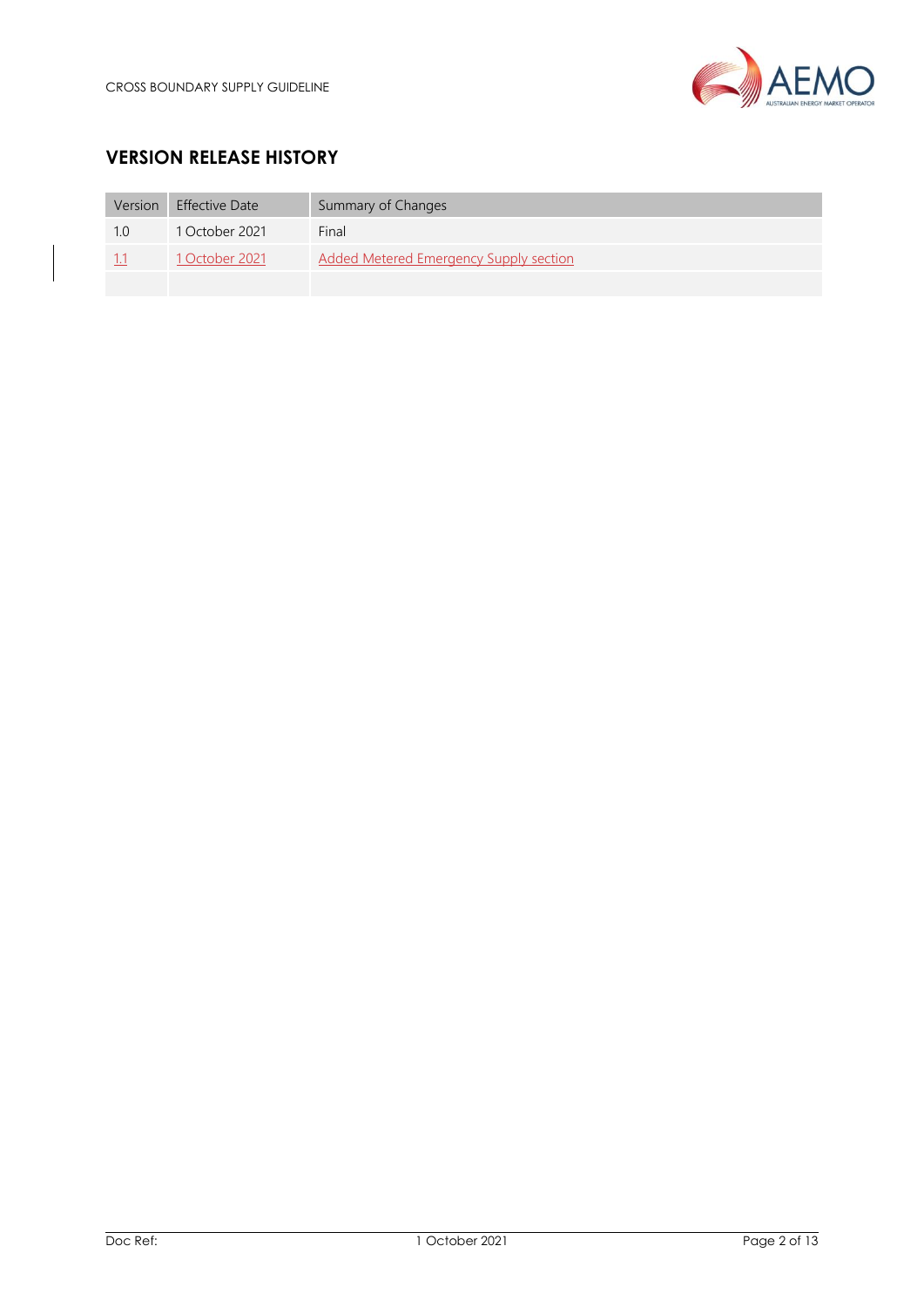

# **VERSION RELEASE HISTORY**

| Version | <b>Effective Date</b> | Summary of Changes                     |
|---------|-----------------------|----------------------------------------|
| 1 O     | 1 October 2021        | Final                                  |
| -1.1    | 1 October 2021        | Added Metered Emergency Supply section |
|         |                       |                                        |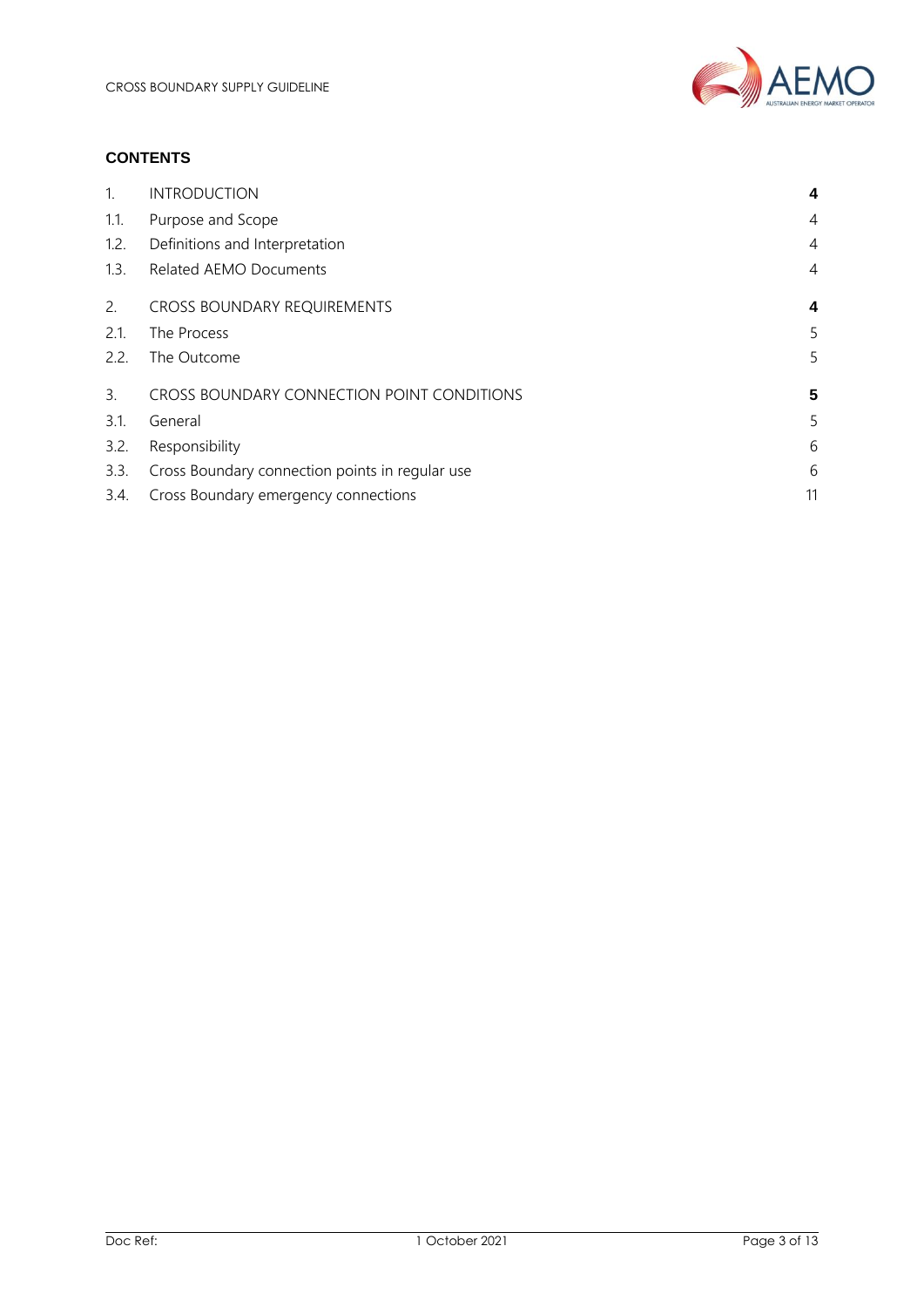

#### **CONTENTS**

| $\mathbf{1}$ . | <b>INTRODUCTION</b>                             | 4              |
|----------------|-------------------------------------------------|----------------|
| 1.1.           | Purpose and Scope                               | $\overline{4}$ |
| 1.2.           | Definitions and Interpretation                  | $\overline{4}$ |
| 1.3.           | <b>Related AEMO Documents</b>                   | $\overline{4}$ |
| 2.             | <b>CROSS BOUNDARY REQUIREMENTS</b>              | 4              |
| 2.1.           | The Process                                     | 5              |
| 2.2.           | The Outcome                                     | 5              |
| 3.             | CROSS BOUNDARY CONNECTION POINT CONDITIONS      | 5              |
| 3.1.           | General                                         | 5              |
| 3.2.           | Responsibility                                  | 6              |
| 3.3.           | Cross Boundary connection points in regular use | 6              |
| 3.4.           | Cross Boundary emergency connections            | 11             |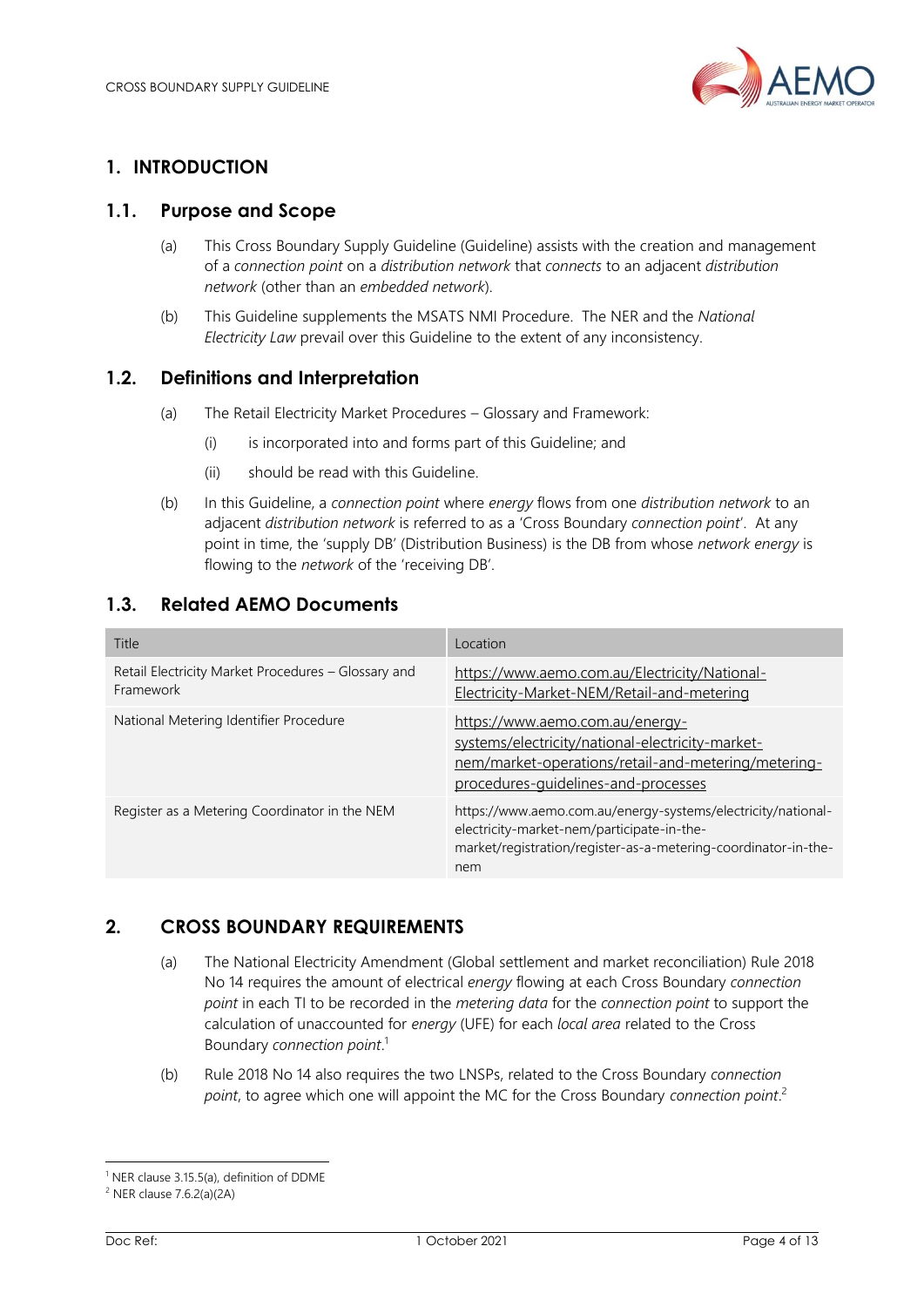

# <span id="page-3-0"></span>**1. INTRODUCTION**

### <span id="page-3-1"></span>**1.1. Purpose and Scope**

- (a) This Cross Boundary Supply Guideline (Guideline) assists with the creation and management of a *connection point* on a *distribution network* that *connects* to an adjacent *distribution network* (other than an *embedded network*).
- (b) This Guideline supplements the MSATS NMI Procedure. The NER and the *National Electricity Law* prevail over this Guideline to the extent of any inconsistency.

## <span id="page-3-2"></span>**1.2. Definitions and Interpretation**

- (a) The Retail Electricity Market Procedures Glossary and Framework:
	- (i) is incorporated into and forms part of this Guideline; and
	- (ii) should be read with this Guideline.
- (b) In this Guideline, a *connection point* where *energy* flows from one *distribution network* to an adjacent *distribution network* is referred to as a 'Cross Boundary *connection point*'. At any point in time, the 'supply DB' (Distribution Business) is the DB from whose *network energy* is flowing to the *network* of the 'receiving DB'.

## <span id="page-3-3"></span>**1.3. Related AEMO Documents**

| Title                                                            | Location                                                                                                                                                                            |
|------------------------------------------------------------------|-------------------------------------------------------------------------------------------------------------------------------------------------------------------------------------|
| Retail Electricity Market Procedures - Glossary and<br>Framework | https://www.aemo.com.au/Electricity/National-<br>Electricity-Market-NEM/Retail-and-metering                                                                                         |
| National Metering Identifier Procedure                           | https://www.aemo.com.au/energy-<br>systems/electricity/national-electricity-market-<br>nem/market-operations/retail-and-metering/metering-<br>procedures-guidelines-and-processes   |
| Register as a Metering Coordinator in the NEM                    | https://www.aemo.com.au/energy-systems/electricity/national-<br>electricity-market-nem/participate-in-the-<br>market/registration/register-as-a-metering-coordinator-in-the-<br>nem |

## <span id="page-3-4"></span>**2. CROSS BOUNDARY REQUIREMENTS**

- (a) The National Electricity Amendment (Global settlement and market reconciliation) Rule 2018 No 14 requires the amount of electrical *energy* flowing at each Cross Boundary *connection point* in each TI to be recorded in the *metering data* for the *connection point* to support the calculation of unaccounted for *energy* (UFE) for each *local area* related to the Cross Boundary *connection point*. 1
- (b) Rule 2018 No 14 also requires the two LNSPs, related to the Cross Boundary *connection point*, to agree which one will appoint the MC for the Cross Boundary *connection point*. 2

<sup>&</sup>lt;sup>1</sup> NER clause 3.15.5(a), definition of DDME

<sup>2</sup> NER clause 7.6.2(a)(2A)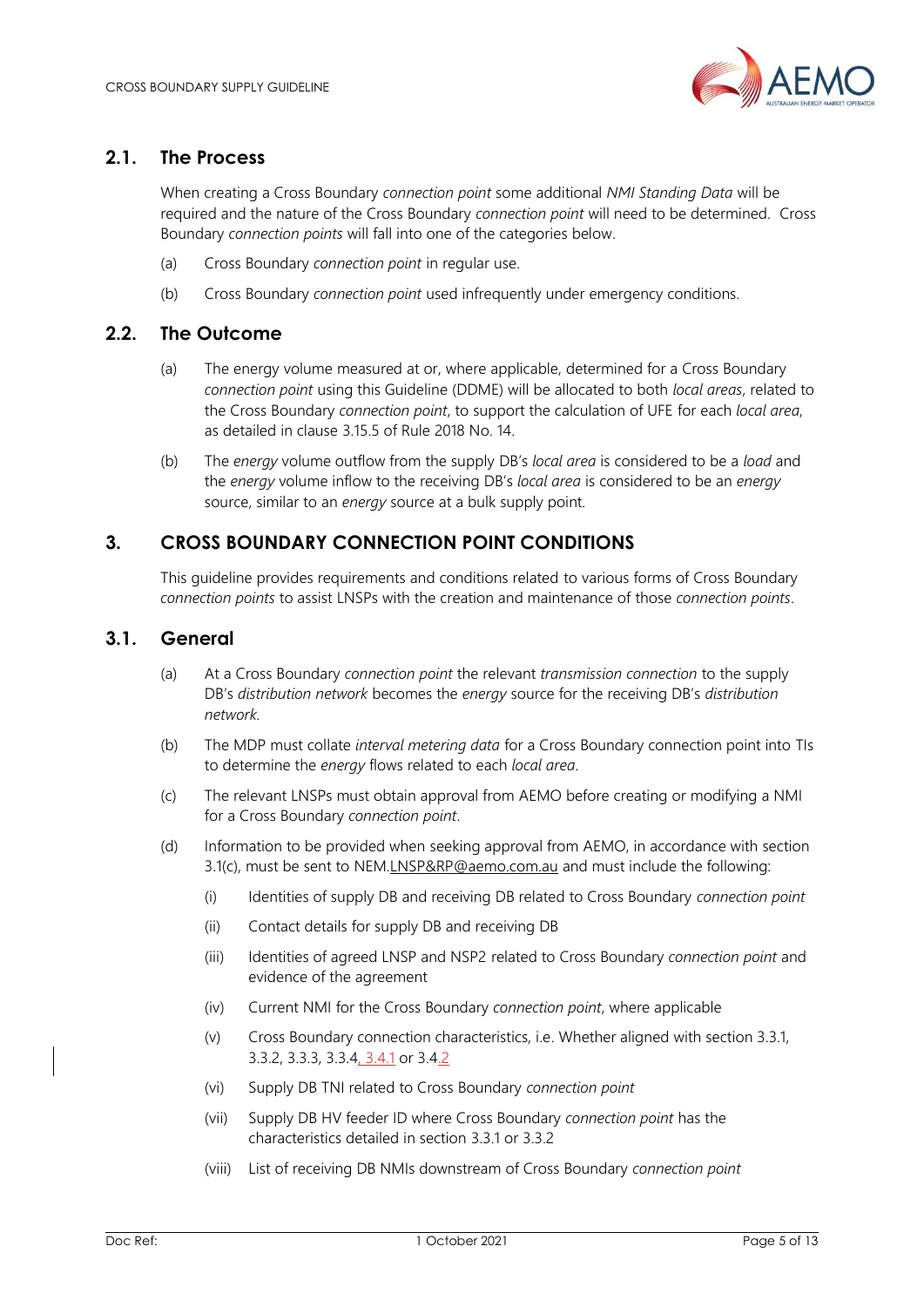

## <span id="page-4-0"></span>**2.1. The Process**

When creating a Cross Boundary *connection point* some additional *NMI Standing Data* will be required and the nature of the Cross Boundary *connection point* will need to be determined. Cross Boundary *connection points* will fall into one of the categories below.

- (a) Cross Boundary *connection point* in regular use.
- (b) Cross Boundary *connection point* used infrequently under emergency conditions.

### <span id="page-4-1"></span>**2.2. The Outcome**

- (a) The energy volume measured at or, where applicable, determined for a Cross Boundary *connection point* using this Guideline (DDME) will be allocated to both *local areas*, related to the Cross Boundary *connection point*, to support the calculation of UFE for each *local area*, as detailed in clause 3.15.5 of Rule 2018 No. 14.
- (b) The *energy* volume outflow from the supply DB's *local area* is considered to be a *load* and the *energy* volume inflow to the receiving DB's *local area* is considered to be an *energy* source, similar to an *energy* source at a bulk supply point.

## <span id="page-4-2"></span>**3. CROSS BOUNDARY CONNECTION POINT CONDITIONS**

This guideline provides requirements and conditions related to various forms of Cross Boundary *connection points* to assist LNSPs with the creation and maintenance of those *connection points*.

## <span id="page-4-3"></span>**3.1. General**

- (a) At a Cross Boundary *connection point* the relevant *transmission connection* to the supply DB's *distribution network* becomes the *energy* source for the receiving DB's *distribution network.*
- (b) The MDP must collate *interval metering data* for a Cross Boundary connection point into TIs to determine the *energy* flows related to each *local area*.
- (c) The relevant LNSPs must obtain approval from AEMO before creating or modifying a NMI for a Cross Boundary *connection point*.
- (d) Information to be provided when seeking approval from AEMO, in accordance with section 3.1(c), must be sent to NE[M.LNSP&RP@aemo.com.au](mailto:LNSP&RP@aemo.com.au) and must include the following:
	- (i) Identities of supply DB and receiving DB related to Cross Boundary *connection point*
	- (ii) Contact details for supply DB and receiving DB
	- (iii) Identities of agreed LNSP and NSP2 related to Cross Boundary *connection point* and evidence of the agreement
	- (iv) Current NMI for the Cross Boundary *connection point*, where applicable
	- (v) Cross Boundary connection characteristics, i.e. Whether aligned with section 3.3.1, 3.3.2, 3.3.3, 3.3.4, 3.4.1 or 3.4.2
	- (vi) Supply DB TNI related to Cross Boundary *connection point*
	- (vii) Supply DB HV feeder ID where Cross Boundary *connection point* has the characteristics detailed in section 3.3.1 or 3.3.2
	- (viii) List of receiving DB NMIs downstream of Cross Boundary *connection point*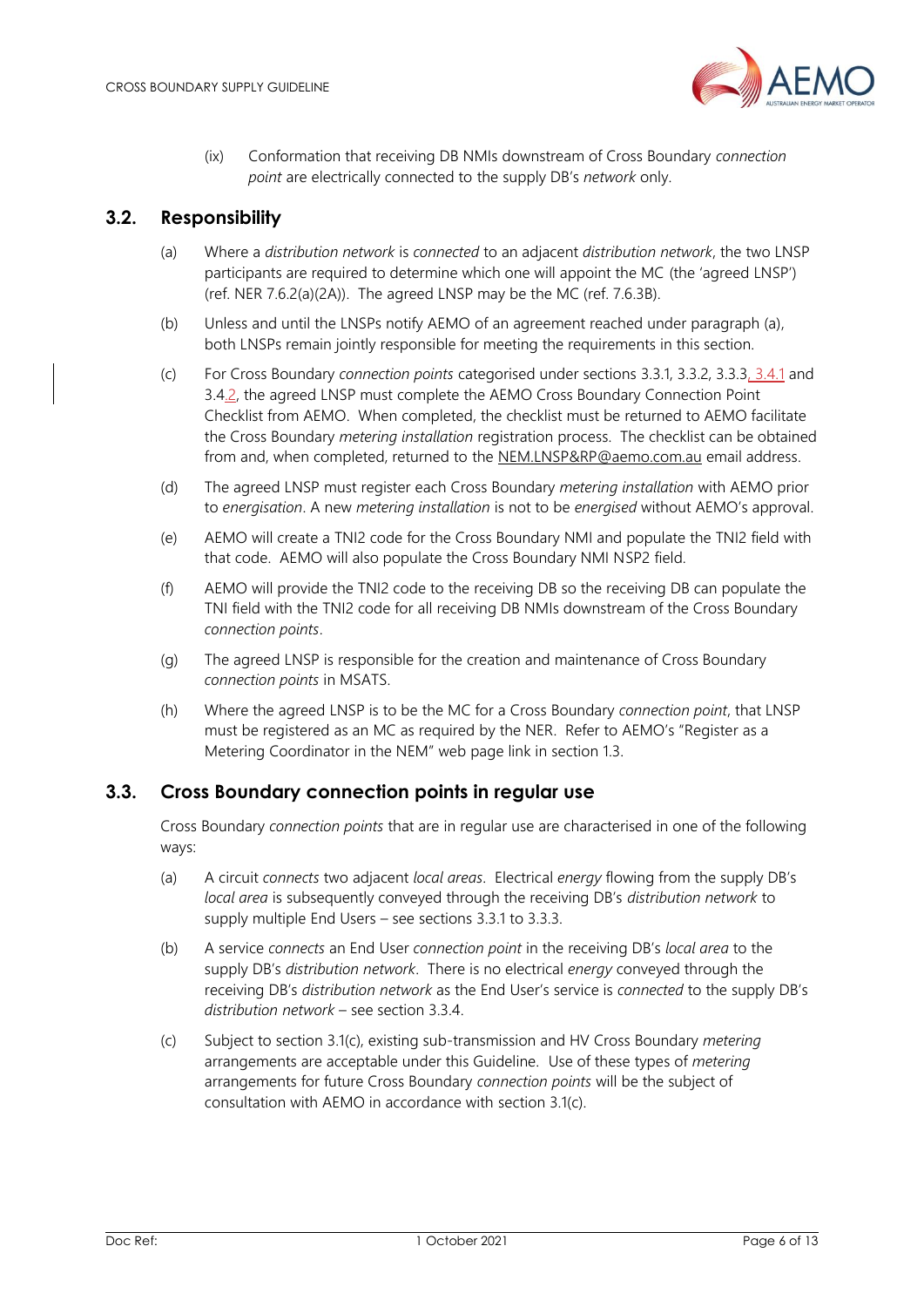

(ix) Conformation that receiving DB NMIs downstream of Cross Boundary *connection point* are electrically connected to the supply DB's *network* only.

### <span id="page-5-0"></span>**3.2. Responsibility**

- (a) Where a *distribution network* is *connected* to an adjacent *distribution network*, the two LNSP participants are required to determine which one will appoint the MC (the 'agreed LNSP') (ref. NER 7.6.2(a)(2A)). The agreed LNSP may be the MC (ref. 7.6.3B).
- (b) Unless and until the LNSPs notify AEMO of an agreement reached under paragraph (a), both LNSPs remain jointly responsible for meeting the requirements in this section.
- (c) For Cross Boundary *connection points* categorised under sections 3.3.1, 3.3.2, 3.3.3, 3.4.1 and 3.4.2, the agreed LNSP must complete the AEMO Cross Boundary Connection Point Checklist from AEMO. When completed, the checklist must be returned to AEMO facilitate the Cross Boundary *metering installation* registration process. The checklist can be obtained from and, when completed, returned to the [NEM.LNSP&RP@aemo.com.au](mailto:NEM.LNSP&RP@aemo.com.au) email address.
- (d) The agreed LNSP must register each Cross Boundary *metering installation* with AEMO prior to *energisation*. A new *metering installation* is not to be *energised* without AEMO's approval.
- (e) AEMO will create a TNI2 code for the Cross Boundary NMI and populate the TNI2 field with that code. AEMO will also populate the Cross Boundary NMI NSP2 field.
- (f) AEMO will provide the TNI2 code to the receiving DB so the receiving DB can populate the TNI field with the TNI2 code for all receiving DB NMIs downstream of the Cross Boundary *connection points*.
- (g) The agreed LNSP is responsible for the creation and maintenance of Cross Boundary *connection points* in MSATS.
- (h) Where the agreed LNSP is to be the MC for a Cross Boundary *connection point*, that LNSP must be registered as an MC as required by the NER. Refer to AEMO's "Register as a Metering Coordinator in the NEM" web page link in section 1.3.

### <span id="page-5-1"></span>**3.3. Cross Boundary connection points in regular use**

Cross Boundary *connection points* that are in regular use are characterised in one of the following ways:

- (a) A circuit *connects* two adjacent *local areas*. Electrical *energy* flowing from the supply DB's *local area* is subsequently conveyed through the receiving DB's *distribution network* to supply multiple End Users – see sections [3.3.1](#page-6-0) to [3.3.3.](#page-8-0)
- (b) A service *connects* an End User *connection point* in the receiving DB's *local area* to the supply DB's *distribution network*. There is no electrical *energy* conveyed through the receiving DB's *distribution network* as the End User's service is *connected* to the supply DB's *distribution network* – see section [3.3.4.](#page-9-0)
- (c) Subject to section 3.1(c), existing sub-transmission and HV Cross Boundary *metering* arrangements are acceptable under this Guideline. Use of these types of *metering* arrangements for future Cross Boundary *connection points* will be the subject of consultation with AEMO in accordance with section 3.1(c).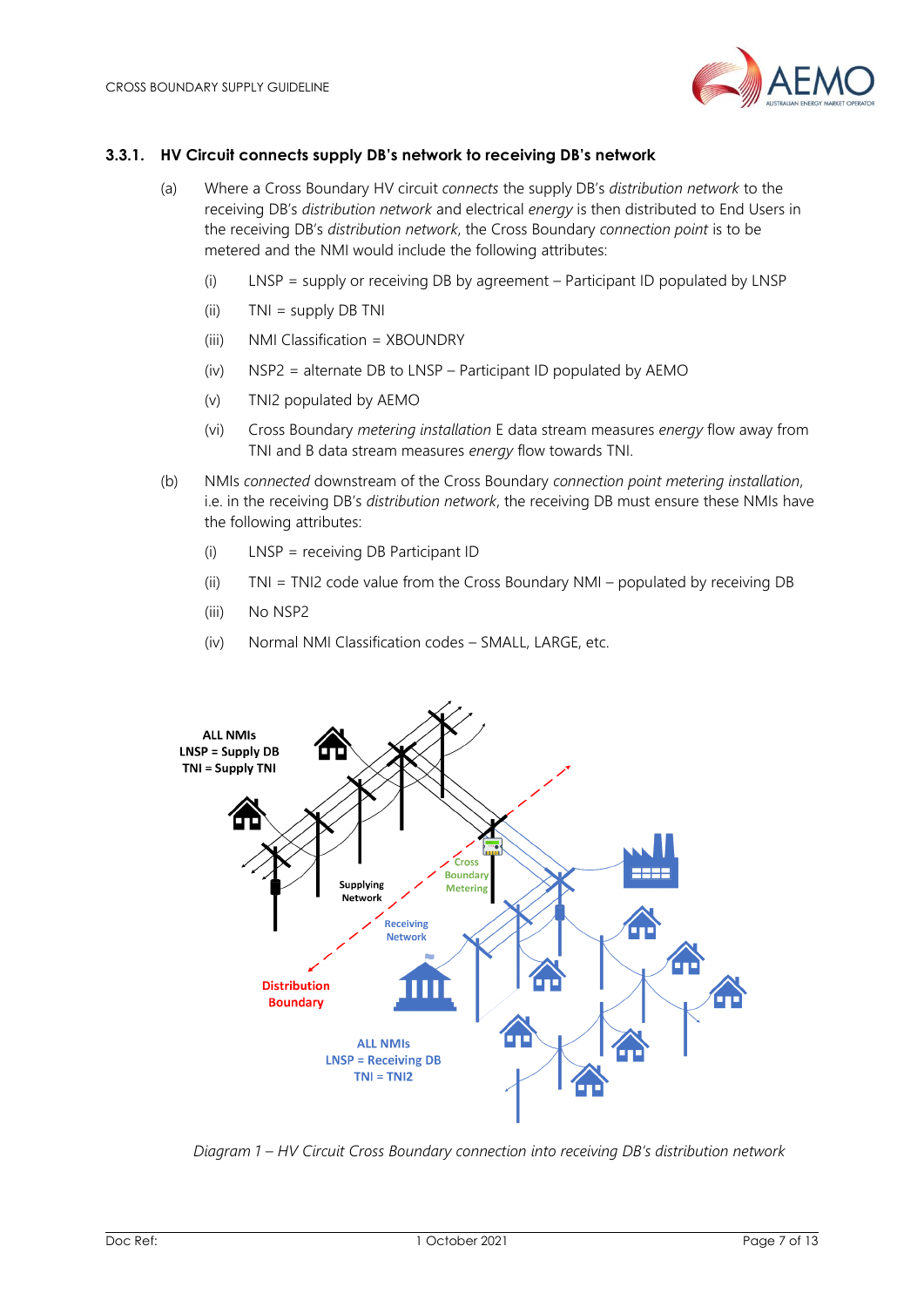

#### <span id="page-6-0"></span>**3.3.1. HV Circuit connects supply DB's network to receiving DB's network**

- (a) Where a Cross Boundary HV circuit *connects* the supply DB's *distribution network* to the receiving DB's *distribution network* and electrical *energy* is then distributed to End Users in the receiving DB's *distribution network*, the Cross Boundary *connection point* is to be metered and the NMI would include the following attributes:
	- (i) LNSP = supply or receiving DB by agreement Participant ID populated by LNSP
	- (ii) TNI = supply DB TNI
	- (iii) NMI Classification = XBOUNDRY
	- (iv) NSP2 = alternate DB to LNSP Participant ID populated by AEMO
	- (v) TNI2 populated by AEMO
	- (vi) Cross Boundary *metering installation* E data stream measures *energy* flow away from TNI and B data stream measures *energy* flow towards TNI.
- (b) NMIs *connected* downstream of the Cross Boundary *connection point metering installation*, i.e. in the receiving DB's *distribution network*, the receiving DB must ensure these NMIs have the following attributes:
	- (i) LNSP = receiving DB Participant ID
	- (ii) TNI = TNI2 code value from the Cross Boundary NMI populated by receiving DB
	- (iii) No NSP2
	- (iv) Normal NMI Classification codes SMALL, LARGE, etc.



*Diagram 1 – HV Circuit Cross Boundary connection into receiving DB's distribution network*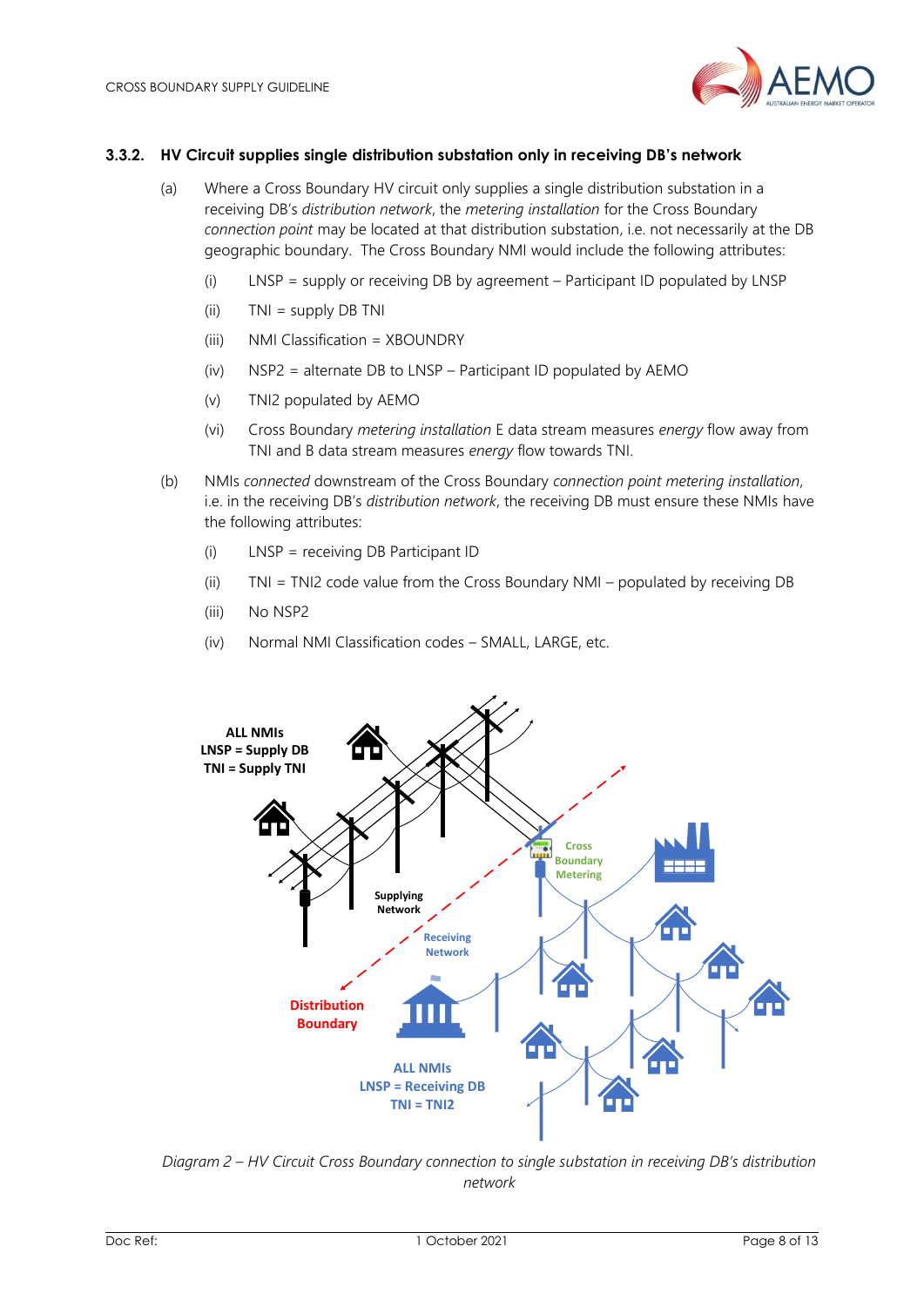

#### **3.3.2. HV Circuit supplies single distribution substation only in receiving DB's network**

- (a) Where a Cross Boundary HV circuit only supplies a single distribution substation in a receiving DB's *distribution network*, the *metering installation* for the Cross Boundary *connection point* may be located at that distribution substation, i.e. not necessarily at the DB geographic boundary. The Cross Boundary NMI would include the following attributes:
	- (i) LNSP = supply or receiving DB by agreement Participant ID populated by LNSP
	- (ii) TNI = supply DB TNI
	- (iii) NMI Classification = XBOUNDRY
	- (iv) NSP2 = alternate DB to LNSP Participant ID populated by AEMO
	- (v) TNI2 populated by AEMO
	- (vi) Cross Boundary *metering installation* E data stream measures *energy* flow away from TNI and B data stream measures *energy* flow towards TNI.
- (b) NMIs *connected* downstream of the Cross Boundary *connection point metering installation*, i.e. in the receiving DB's *distribution network*, the receiving DB must ensure these NMIs have the following attributes:
	- (i) LNSP = receiving DB Participant ID
	- (ii) TNI = TNI2 code value from the Cross Boundary NMI populated by receiving DB
	- (iii) No NSP2
	- (iv) Normal NMI Classification codes SMALL, LARGE, etc.



*Diagram 2 – HV Circuit Cross Boundary connection to single substation in receiving DB's distribution network*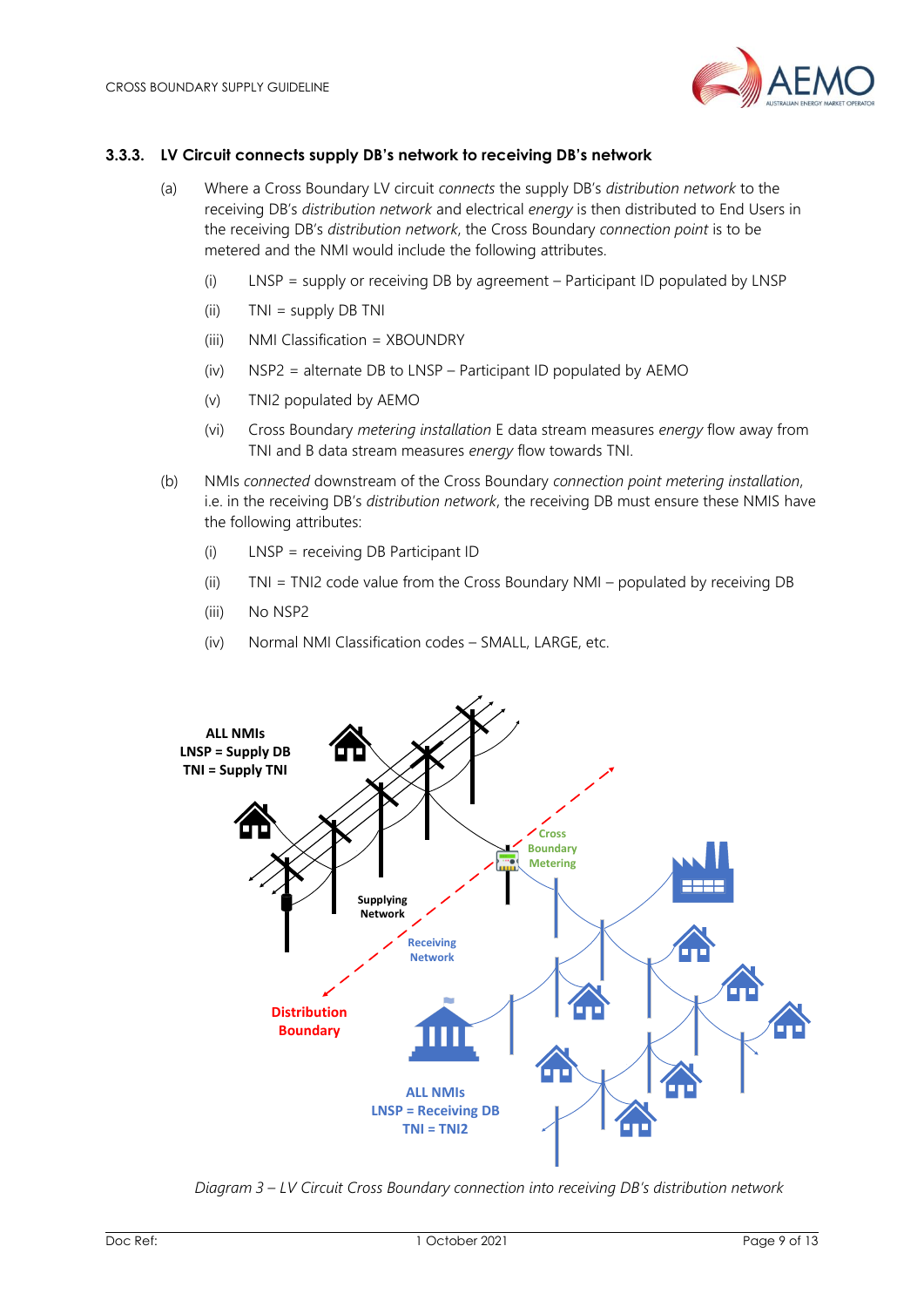

#### <span id="page-8-0"></span>**3.3.3. LV Circuit connects supply DB's network to receiving DB's network**

- (a) Where a Cross Boundary LV circuit *connects* the supply DB's *distribution network* to the receiving DB's *distribution network* and electrical *energy* is then distributed to End Users in the receiving DB's *distribution network*, the Cross Boundary *connection point* is to be metered and the NMI would include the following attributes.
	- (i) LNSP = supply or receiving DB by agreement Participant ID populated by LNSP
	- (ii) TNI = supply DB TNI
	- (iii) NMI Classification = XBOUNDRY
	- (iv) NSP2 = alternate DB to LNSP Participant ID populated by AEMO
	- (v) TNI2 populated by AEMO
	- (vi) Cross Boundary *metering installation* E data stream measures *energy* flow away from TNI and B data stream measures *energy* flow towards TNI.
- (b) NMIs *connected* downstream of the Cross Boundary *connection point metering installation*, i.e. in the receiving DB's *distribution network*, the receiving DB must ensure these NMIS have the following attributes:
	- (i) LNSP = receiving DB Participant ID
	- (ii) TNI = TNI2 code value from the Cross Boundary NMI populated by receiving DB
	- (iii) No NSP2
	- (iv) Normal NMI Classification codes SMALL, LARGE, etc.



*Diagram 3 – LV Circuit Cross Boundary connection into receiving DB's distribution network*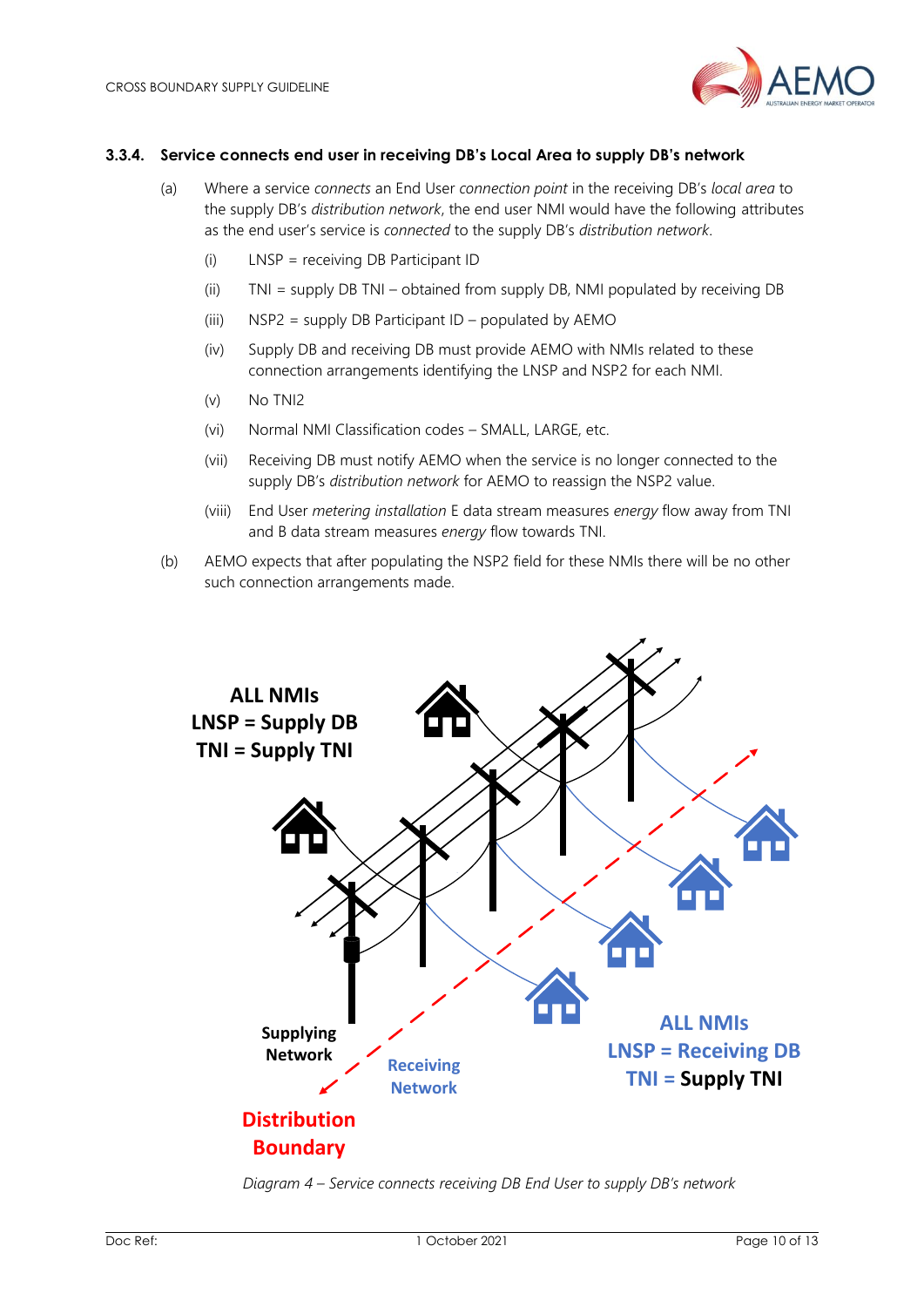

#### <span id="page-9-0"></span>**3.3.4. Service connects end user in receiving DB's Local Area to supply DB's network**

- (a) Where a service *connects* an End User *connection point* in the receiving DB's *local area* to the supply DB's *distribution network*, the end user NMI would have the following attributes as the end user's service is *connected* to the supply DB's *distribution network*.
	- (i) LNSP = receiving DB Participant ID
	- (ii) TNI = supply DB TNI obtained from supply DB, NMI populated by receiving DB
	- (iii)  $NSP2 = supply DB Participant ID populated by AEMO$
	- (iv) Supply DB and receiving DB must provide AEMO with NMIs related to these connection arrangements identifying the LNSP and NSP2 for each NMI.
	- (v) No TNI2
	- (vi) Normal NMI Classification codes SMALL, LARGE, etc.
	- (vii) Receiving DB must notify AEMO when the service is no longer connected to the supply DB's *distribution network* for AEMO to reassign the NSP2 value.
	- (viii) End User *metering installation* E data stream measures *energy* flow away from TNI and B data stream measures *energy* flow towards TNI.
- (b) AEMO expects that after populating the NSP2 field for these NMIs there will be no other such connection arrangements made.



*Diagram 4 – Service connects receiving DB End User to supply DB's network*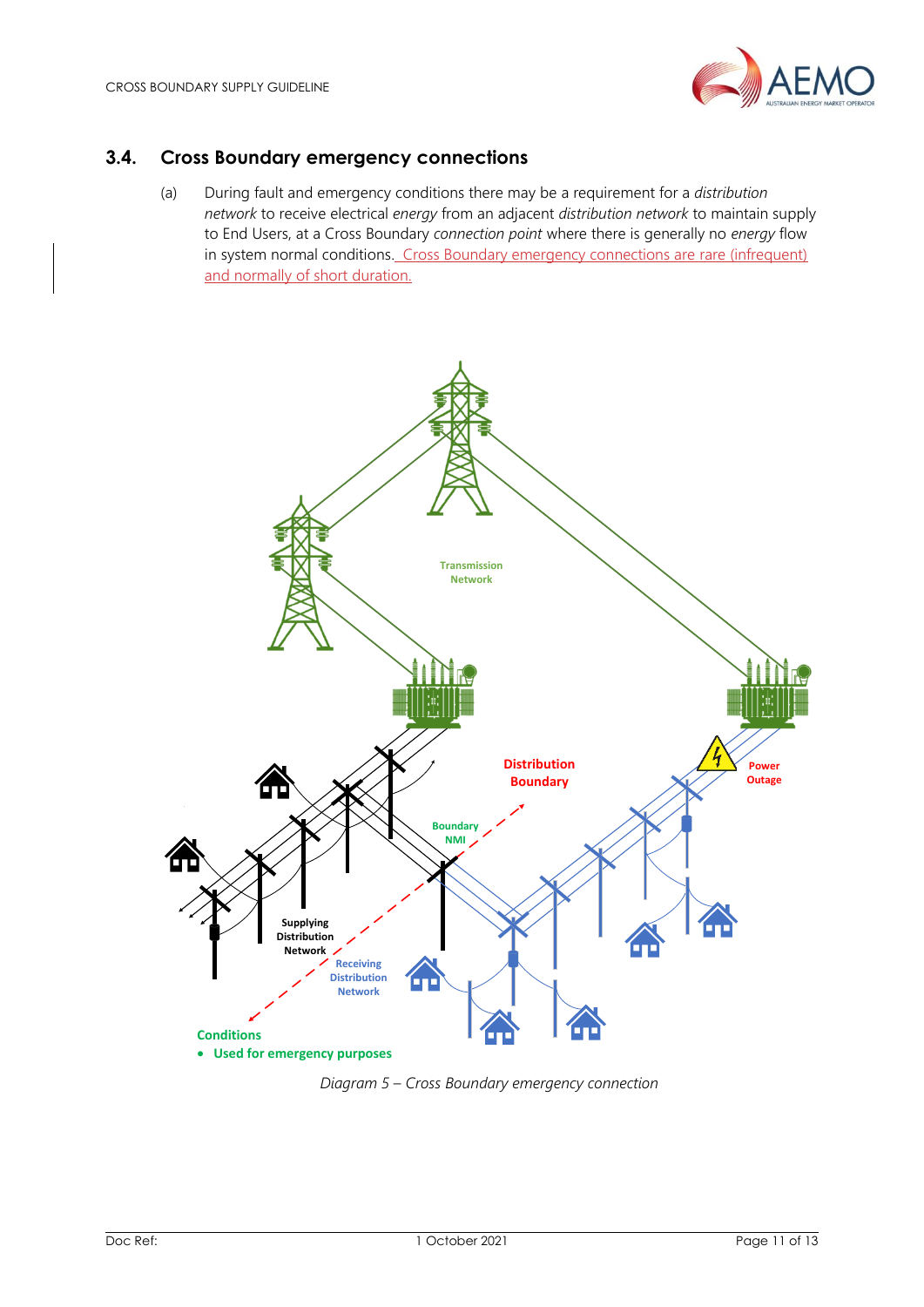

## <span id="page-10-0"></span>**3.4. Cross Boundary emergency connections**

(a) During fault and emergency conditions there may be a requirement for a *distribution network* to receive electrical *energy* from an adjacent *distribution network* to maintain supply to End Users, at a Cross Boundary *connection point* where there is generally no *energy* flow in system normal conditions. Cross Boundary emergency connections are rare (infrequent) and normally of short duration.



*Diagram 5 – Cross Boundary emergency connection*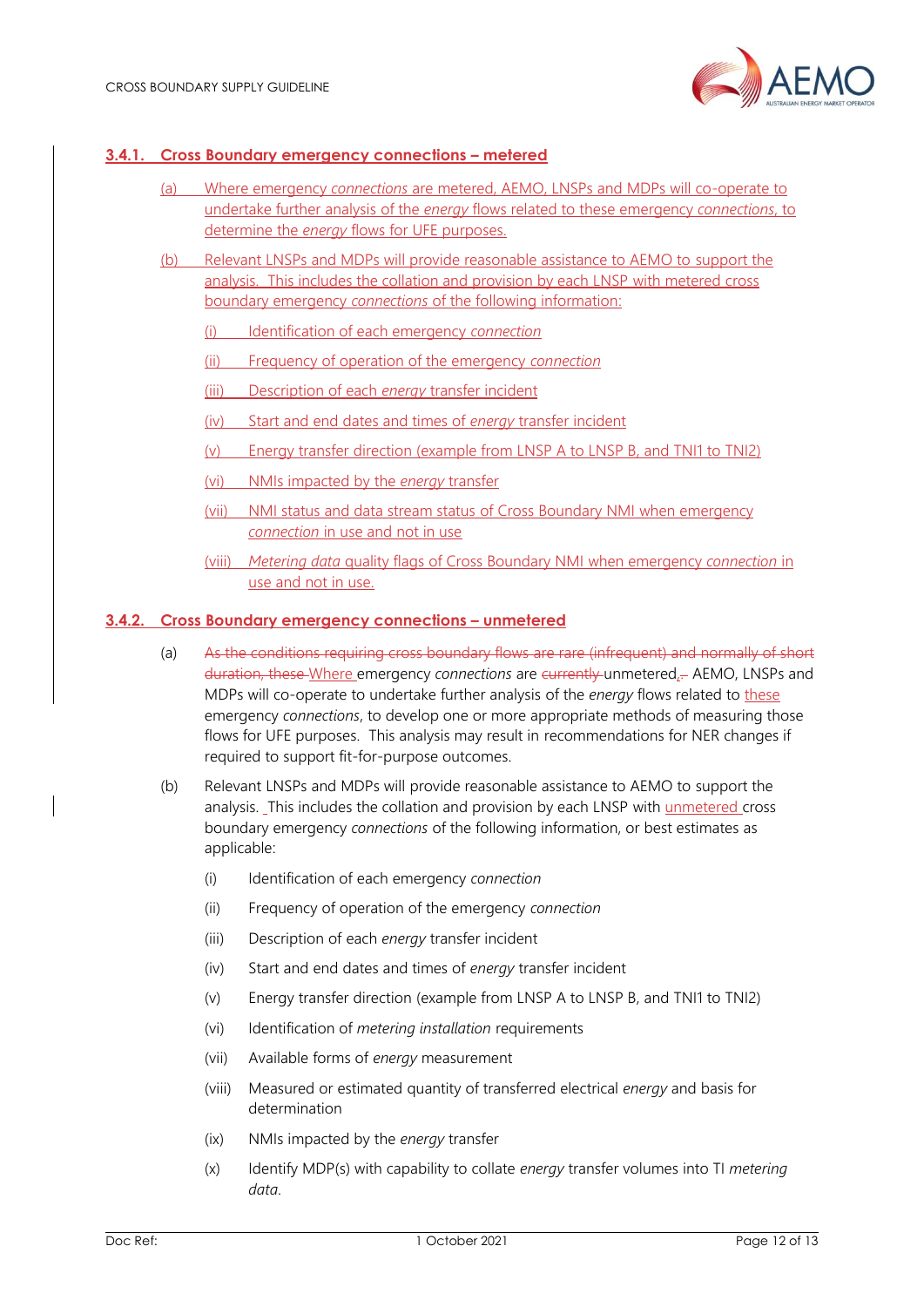

#### **3.4.1. Cross Boundary emergency connections – metered**

- (a) Where emergency *connections* are metered, AEMO, LNSPs and MDPs will co-operate to undertake further analysis of the *energy* flows related to these emergency *connections*, to determine the *energy* flows for UFE purposes.
- (b) Relevant LNSPs and MDPs will provide reasonable assistance to AEMO to support the analysis. This includes the collation and provision by each LNSP with metered cross boundary emergency *connections* of the following information:
	- (i) Identification of each emergency *connection*
	- (ii) Frequency of operation of the emergency *connection*
	- (iii) Description of each *energy* transfer incident
	- (iv) Start and end dates and times of *energy* transfer incident
	- (v) Energy transfer direction (example from LNSP A to LNSP B, and TNI1 to TNI2)
	- (vi) NMIs impacted by the *energy* transfer
	- (vii) NMI status and data stream status of Cross Boundary NMI when emergency *connection* in use and not in use
	- (viii) *Metering data* quality flags of Cross Boundary NMI when emergency *connection* in use and not in use.

#### **3.4.2. Cross Boundary emergency connections – unmetered**

- (a) As the conditions requiring cross boundary flows are rare (infrequent) and normally of short duration, these Where emergency *connections* are currently unmetered,. AEMO, LNSPs and MDPs will co-operate to undertake further analysis of the *energy* flows related to these emergency *connections*, to develop one or more appropriate methods of measuring those flows for UFE purposes. This analysis may result in recommendations for NER changes if required to support fit-for-purpose outcomes.
- (b) Relevant LNSPs and MDPs will provide reasonable assistance to AEMO to support the analysis. This includes the collation and provision by each LNSP with unmetered cross boundary emergency *connections* of the following information, or best estimates as applicable:
	- (i) Identification of each emergency *connection*
	- (ii) Frequency of operation of the emergency *connection*
	- (iii) Description of each *energy* transfer incident
	- (iv) Start and end dates and times of *energy* transfer incident
	- (v) Energy transfer direction (example from LNSP A to LNSP B, and TNI1 to TNI2)
	- (vi) Identification of *metering installation* requirements
	- (vii) Available forms of *energy* measurement
	- (viii) Measured or estimated quantity of transferred electrical *energy* and basis for determination
	- (ix) NMIs impacted by the *energy* transfer
	- (x) Identify MDP(s) with capability to collate *energy* transfer volumes into TI *metering data*.